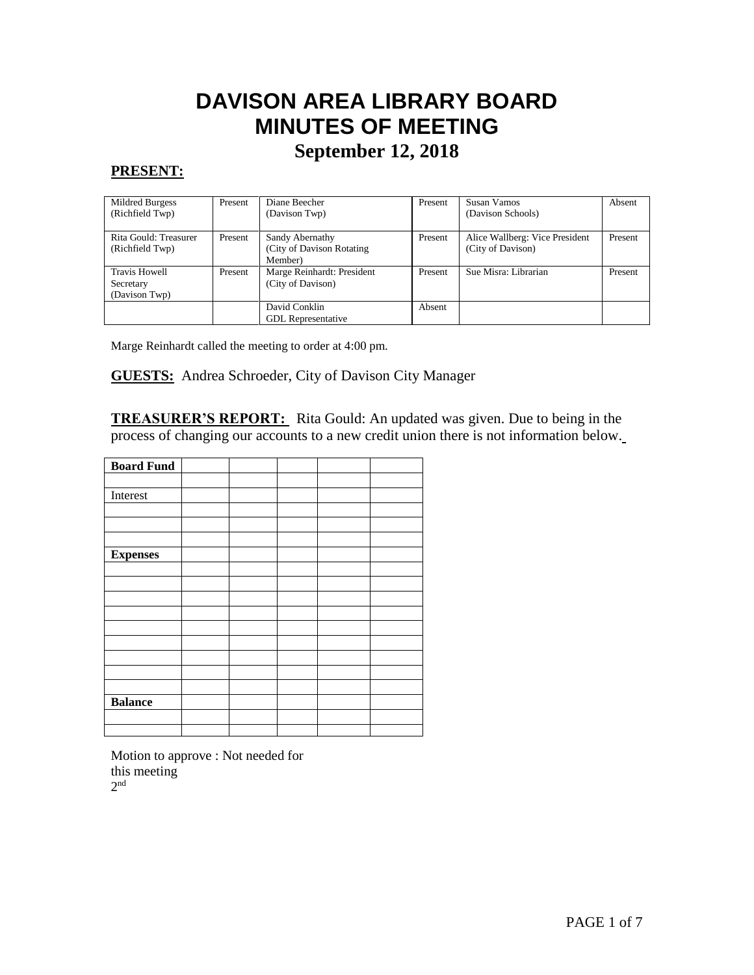# **DAVISON AREA LIBRARY BOARD MINUTES OF MEETING September 12, 2018**

#### **PRESENT:**

 $\overline{\phantom{a}}$ 

| Mildred Burgess<br>(Richfield Twp)                 | Present | Diane Beecher<br>(Davison Twp)                           | Present | Susan Vamos<br>(Davison Schools)                    | Absent  |
|----------------------------------------------------|---------|----------------------------------------------------------|---------|-----------------------------------------------------|---------|
| Rita Gould: Treasurer<br>(Richfield Twp)           | Present | Sandy Abernathy<br>(City of Davison Rotating)<br>Member) | Present | Alice Wallberg: Vice President<br>(City of Davison) | Present |
| <b>Travis Howell</b><br>Secretary<br>(Davison Twp) | Present | Marge Reinhardt: President<br>(City of Davison)          | Present | Sue Misra: Librarian                                | Present |
|                                                    |         | David Conklin<br><b>GDL</b> Representative               | Absent  |                                                     |         |

Marge Reinhardt called the meeting to order at 4:00 pm.

**GUESTS:** Andrea Schroeder, City of Davison City Manager

**TREASURER'S REPORT:** Rita Gould: An updated was given. Due to being in the process of changing our accounts to a new credit union there is not information below.

| <b>Board Fund</b> |  |  |  |
|-------------------|--|--|--|
|                   |  |  |  |
| Interest          |  |  |  |
|                   |  |  |  |
|                   |  |  |  |
|                   |  |  |  |
| <b>Expenses</b>   |  |  |  |
|                   |  |  |  |
|                   |  |  |  |
|                   |  |  |  |
|                   |  |  |  |
|                   |  |  |  |
|                   |  |  |  |
|                   |  |  |  |
|                   |  |  |  |
|                   |  |  |  |
| <b>Balance</b>    |  |  |  |
|                   |  |  |  |
|                   |  |  |  |

Motion to approve : Not needed for this meeting 2 nd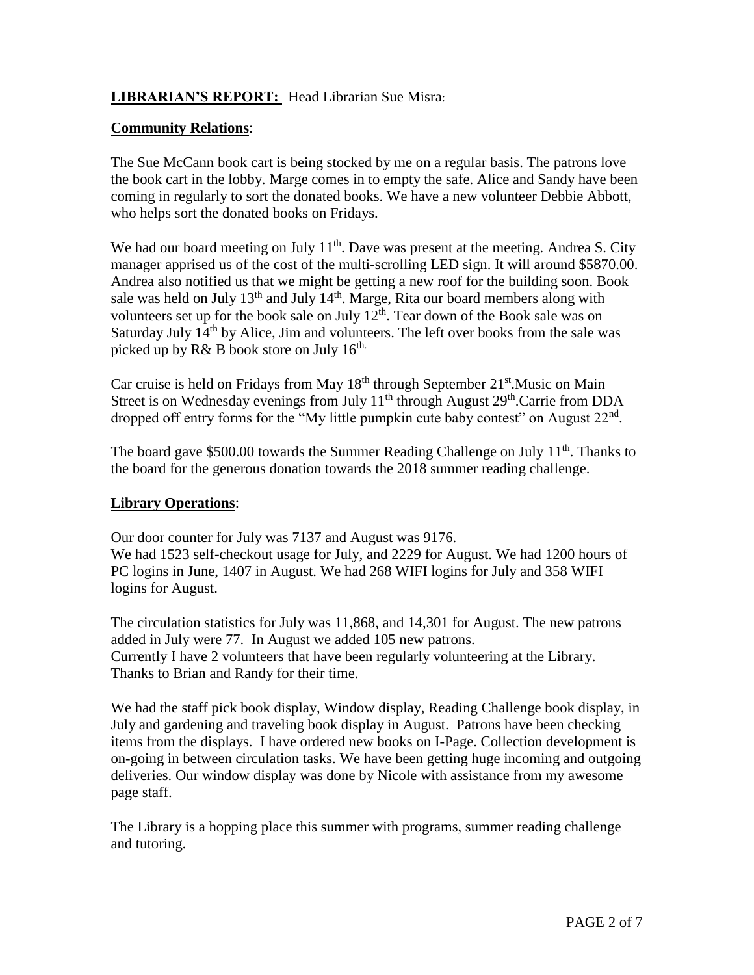# **LIBRARIAN'S REPORT:** Head Librarian Sue Misra:

## **Community Relations**:

The Sue McCann book cart is being stocked by me on a regular basis. The patrons love the book cart in the lobby. Marge comes in to empty the safe. Alice and Sandy have been coming in regularly to sort the donated books. We have a new volunteer Debbie Abbott, who helps sort the donated books on Fridays.

We had our board meeting on July  $11<sup>th</sup>$ . Dave was present at the meeting. Andrea S. City manager apprised us of the cost of the multi-scrolling LED sign. It will around \$5870.00. Andrea also notified us that we might be getting a new roof for the building soon. Book sale was held on July  $13<sup>th</sup>$  and July  $14<sup>th</sup>$ . Marge, Rita our board members along with volunteers set up for the book sale on July 12<sup>th</sup>. Tear down of the Book sale was on Saturday July  $14<sup>th</sup>$  by Alice, Jim and volunteers. The left over books from the sale was picked up by R& B book store on July  $16^{\text{th}}$ .

Car cruise is held on Fridays from May  $18<sup>th</sup>$  through September  $21<sup>st</sup>$ . Music on Main Street is on Wednesday evenings from July 11<sup>th</sup> through August 29<sup>th</sup>.Carrie from DDA dropped off entry forms for the "My little pumpkin cute baby contest" on August  $22<sup>nd</sup>$ .

The board gave \$500.00 towards the Summer Reading Challenge on July  $11<sup>th</sup>$ . Thanks to the board for the generous donation towards the 2018 summer reading challenge.

## **Library Operations**:

logins for August.

Our door counter for July was 7137 and August was 9176. We had 1523 self-checkout usage for July, and 2229 for August. We had 1200 hours of PC logins in June, 1407 in August. We had 268 WIFI logins for July and 358 WIFI

The circulation statistics for July was 11,868, and 14,301 for August. The new patrons added in July were 77. In August we added 105 new patrons. Currently I have 2 volunteers that have been regularly volunteering at the Library. Thanks to Brian and Randy for their time.

We had the staff pick book display, Window display, Reading Challenge book display, in July and gardening and traveling book display in August. Patrons have been checking items from the displays. I have ordered new books on I-Page. Collection development is on-going in between circulation tasks. We have been getting huge incoming and outgoing deliveries. Our window display was done by Nicole with assistance from my awesome page staff.

The Library is a hopping place this summer with programs, summer reading challenge and tutoring.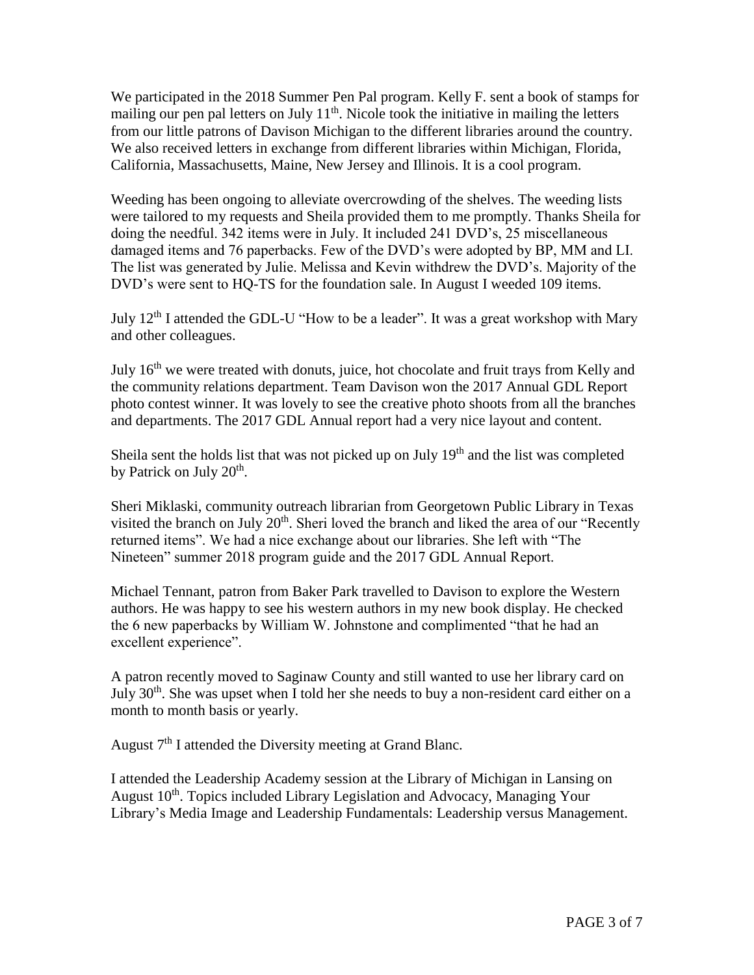We participated in the 2018 Summer Pen Pal program. Kelly F. sent a book of stamps for mailing our pen pal letters on July  $11<sup>th</sup>$ . Nicole took the initiative in mailing the letters from our little patrons of Davison Michigan to the different libraries around the country. We also received letters in exchange from different libraries within Michigan, Florida, California, Massachusetts, Maine, New Jersey and Illinois. It is a cool program.

Weeding has been ongoing to alleviate overcrowding of the shelves. The weeding lists were tailored to my requests and Sheila provided them to me promptly. Thanks Sheila for doing the needful. 342 items were in July. It included 241 DVD's, 25 miscellaneous damaged items and 76 paperbacks. Few of the DVD's were adopted by BP, MM and LI. The list was generated by Julie. Melissa and Kevin withdrew the DVD's. Majority of the DVD's were sent to HQ-TS for the foundation sale. In August I weeded 109 items.

July  $12<sup>th</sup>$  I attended the GDL-U "How to be a leader". It was a great workshop with Mary and other colleagues.

July 16<sup>th</sup> we were treated with donuts, juice, hot chocolate and fruit trays from Kelly and the community relations department. Team Davison won the 2017 Annual GDL Report photo contest winner. It was lovely to see the creative photo shoots from all the branches and departments. The 2017 GDL Annual report had a very nice layout and content.

Sheila sent the holds list that was not picked up on July 19<sup>th</sup> and the list was completed by Patrick on July 20<sup>th</sup>.

Sheri Miklaski, community outreach librarian from Georgetown Public Library in Texas visited the branch on July 20<sup>th</sup>. Sheri loved the branch and liked the area of our "Recently returned items". We had a nice exchange about our libraries. She left with "The Nineteen" summer 2018 program guide and the 2017 GDL Annual Report.

Michael Tennant, patron from Baker Park travelled to Davison to explore the Western authors. He was happy to see his western authors in my new book display. He checked the 6 new paperbacks by William W. Johnstone and complimented "that he had an excellent experience".

A patron recently moved to Saginaw County and still wanted to use her library card on July  $30<sup>th</sup>$ . She was upset when I told her she needs to buy a non-resident card either on a month to month basis or yearly.

August  $7<sup>th</sup>$  I attended the Diversity meeting at Grand Blanc.

I attended the Leadership Academy session at the Library of Michigan in Lansing on August 10<sup>th</sup>. Topics included Library Legislation and Advocacy, Managing Your Library's Media Image and Leadership Fundamentals: Leadership versus Management.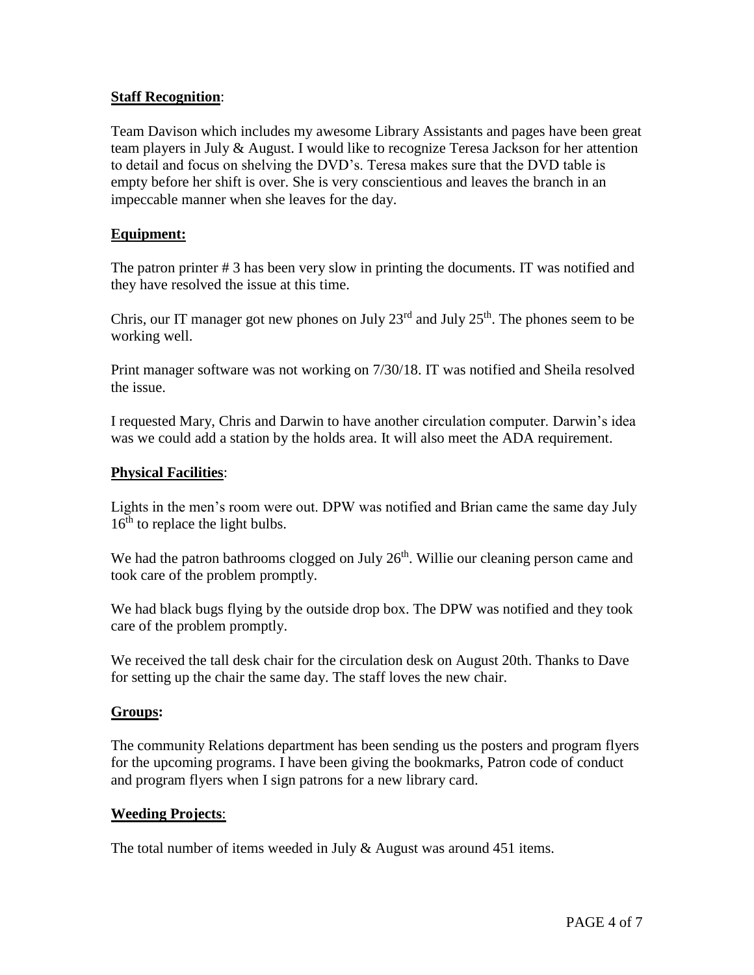#### **Staff Recognition**:

Team Davison which includes my awesome Library Assistants and pages have been great team players in July & August. I would like to recognize Teresa Jackson for her attention to detail and focus on shelving the DVD's. Teresa makes sure that the DVD table is empty before her shift is over. She is very conscientious and leaves the branch in an impeccable manner when she leaves for the day.

#### **Equipment:**

The patron printer # 3 has been very slow in printing the documents. IT was notified and they have resolved the issue at this time.

Chris, our IT manager got new phones on July  $23<sup>rd</sup>$  and July  $25<sup>th</sup>$ . The phones seem to be working well.

Print manager software was not working on 7/30/18. IT was notified and Sheila resolved the issue.

I requested Mary, Chris and Darwin to have another circulation computer. Darwin's idea was we could add a station by the holds area. It will also meet the ADA requirement.

#### **Physical Facilities**:

Lights in the men's room were out. DPW was notified and Brian came the same day July  $16<sup>th</sup>$  to replace the light bulbs.

We had the patron bathrooms clogged on July 26<sup>th</sup>. Willie our cleaning person came and took care of the problem promptly.

We had black bugs flying by the outside drop box. The DPW was notified and they took care of the problem promptly.

We received the tall desk chair for the circulation desk on August 20th. Thanks to Dave for setting up the chair the same day. The staff loves the new chair.

#### **Groups:**

The community Relations department has been sending us the posters and program flyers for the upcoming programs. I have been giving the bookmarks, Patron code of conduct and program flyers when I sign patrons for a new library card.

#### **Weeding Projects**:

The total number of items weeded in July & August was around 451 items.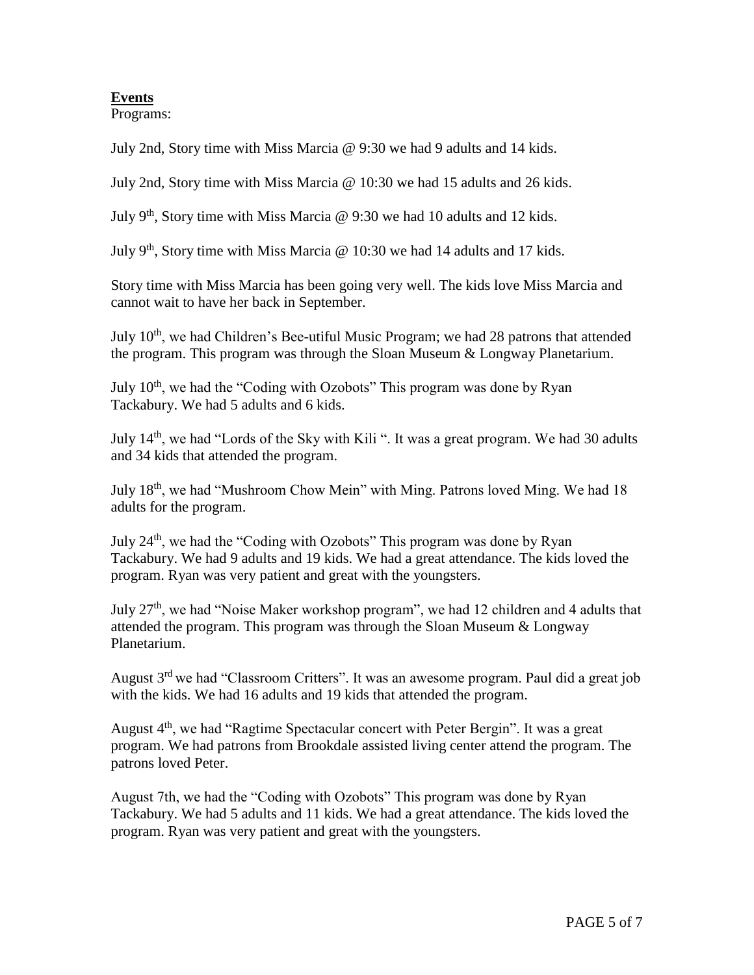# **Events**

Programs:

July 2nd, Story time with Miss Marcia @ 9:30 we had 9 adults and 14 kids.

July 2nd, Story time with Miss Marcia @ 10:30 we had 15 adults and 26 kids.

July 9<sup>th</sup>, Story time with Miss Marcia  $\omega$  9:30 we had 10 adults and 12 kids.

July 9<sup>th</sup>, Story time with Miss Marcia  $\omega$  10:30 we had 14 adults and 17 kids.

Story time with Miss Marcia has been going very well. The kids love Miss Marcia and cannot wait to have her back in September.

July  $10<sup>th</sup>$ , we had Children's Bee-utiful Music Program; we had 28 patrons that attended the program. This program was through the Sloan Museum & Longway Planetarium.

July  $10<sup>th</sup>$ , we had the "Coding with Ozobots" This program was done by Ryan Tackabury. We had 5 adults and 6 kids.

July 14<sup>th</sup>, we had "Lords of the Sky with Kili". It was a great program. We had 30 adults and 34 kids that attended the program.

July 18th, we had "Mushroom Chow Mein" with Ming. Patrons loved Ming. We had 18 adults for the program.

July 24<sup>th</sup>, we had the "Coding with Ozobots" This program was done by Ryan Tackabury. We had 9 adults and 19 kids. We had a great attendance. The kids loved the program. Ryan was very patient and great with the youngsters.

July 27th, we had "Noise Maker workshop program", we had 12 children and 4 adults that attended the program. This program was through the Sloan Museum & Longway Planetarium.

August 3<sup>rd</sup> we had "Classroom Critters". It was an awesome program. Paul did a great job with the kids. We had 16 adults and 19 kids that attended the program.

August  $4<sup>th</sup>$ , we had "Ragtime Spectacular concert with Peter Bergin". It was a great program. We had patrons from Brookdale assisted living center attend the program. The patrons loved Peter.

August 7th, we had the "Coding with Ozobots" This program was done by Ryan Tackabury. We had 5 adults and 11 kids. We had a great attendance. The kids loved the program. Ryan was very patient and great with the youngsters.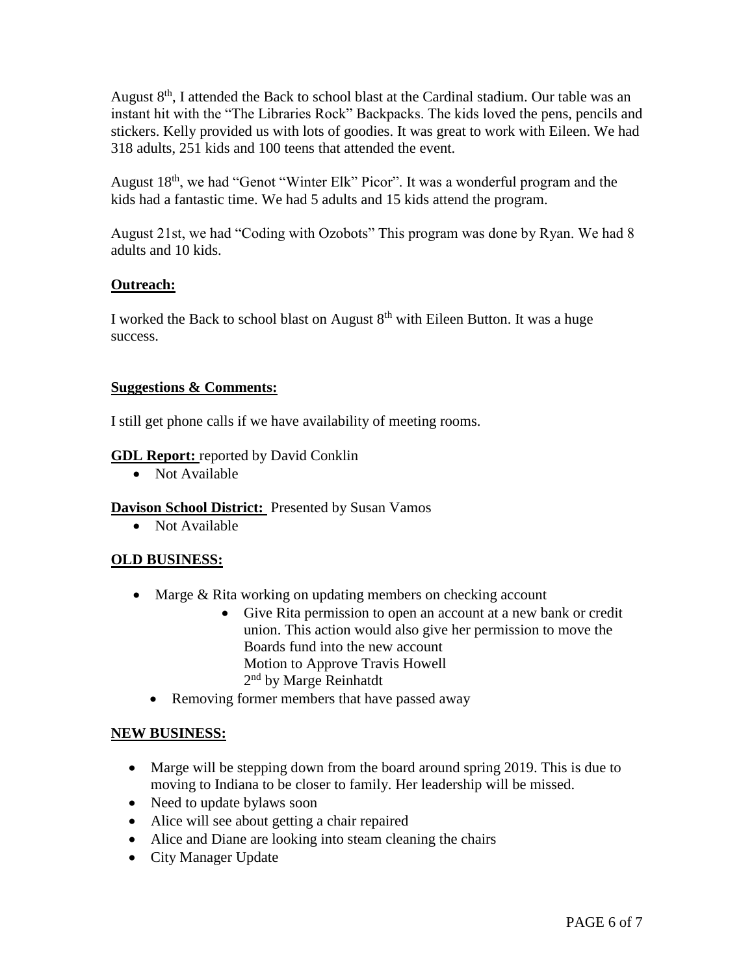August  $8<sup>th</sup>$ , I attended the Back to school blast at the Cardinal stadium. Our table was an instant hit with the "The Libraries Rock" Backpacks. The kids loved the pens, pencils and stickers. Kelly provided us with lots of goodies. It was great to work with Eileen. We had 318 adults, 251 kids and 100 teens that attended the event.

August 18<sup>th</sup>, we had "Genot "Winter Elk" Picor". It was a wonderful program and the kids had a fantastic time. We had 5 adults and 15 kids attend the program.

August 21st, we had "Coding with Ozobots" This program was done by Ryan. We had 8 adults and 10 kids.

## **Outreach:**

I worked the Back to school blast on August  $8<sup>th</sup>$  with Eileen Button. It was a huge success.

## **Suggestions & Comments:**

I still get phone calls if we have availability of meeting rooms.

## **GDL Report:** reported by David Conklin

• Not Available

## **Davison School District:** Presented by Susan Vamos

• Not Available

## **OLD BUSINESS:**

- Marge & Rita working on updating members on checking account
	- Give Rita permission to open an account at a new bank or credit union. This action would also give her permission to move the Boards fund into the new account Motion to Approve Travis Howell 2<sup>nd</sup> by Marge Reinhatdt
	- Removing former members that have passed away

## **NEW BUSINESS:**

- Marge will be stepping down from the board around spring 2019. This is due to moving to Indiana to be closer to family. Her leadership will be missed.
- Need to update bylaws soon
- Alice will see about getting a chair repaired
- Alice and Diane are looking into steam cleaning the chairs
- City Manager Update